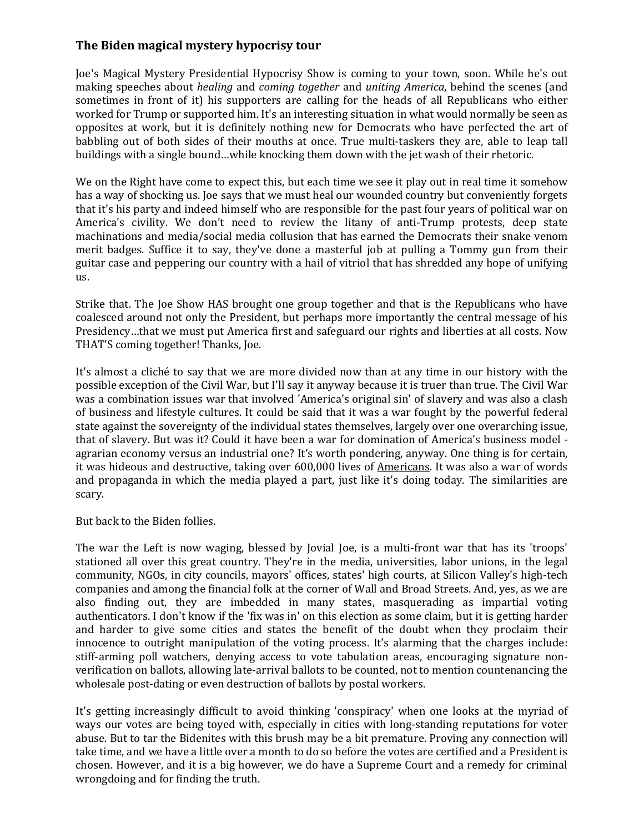## **The Biden magical mystery hypocrisy tour**

Joe's Magical Mystery Presidential Hypocrisy Show is coming to your town, soon. While he's out making speeches about *healing* and *coming together* and *uniting America*, behind the scenes (and sometimes in front of it) his supporters are calling for the heads of all Republicans who either worked for Trump or supported him. It's an interesting situation in what would normally be seen as opposites at work, but it is definitely nothing new for Democrats who have perfected the art of babbling out of both sides of their mouths at once. True multi-taskers they are, able to leap tall buildings with a single bound…while knocking them down with the jet wash of their rhetoric.

We on the Right have come to expect this, but each time we see it play out in real time it somehow has a way of shocking us. Joe says that we must heal our wounded country but conveniently forgets that it's his party and indeed himself who are responsible for the past four years of political war on America's civility. We don't need to review the litany of anti-Trump protests, deep state machinations and media/social media collusion that has earned the Democrats their snake venom merit badges. Suffice it to say, they've done a masterful job at pulling a Tommy gun from their guitar case and peppering our country with a hail of vitriol that has shredded any hope of unifying us.

Strike that. The Joe Show HAS brought one group together and that is the Republicans who have coalesced around not only the President, but perhaps more importantly the central message of his Presidency…that we must put America first and safeguard our rights and liberties at all costs. Now THAT'S coming together! Thanks, Joe.

It's almost a cliché to say that we are more divided now than at any time in our history with the possible exception of the Civil War, but I'll say it anyway because it is truer than true. The Civil War was a combination issues war that involved 'America's original sin' of slavery and was also a clash of business and lifestyle cultures. It could be said that it was a war fought by the powerful federal state against the sovereignty of the individual states themselves, largely over one overarching issue, that of slavery. But was it? Could it have been a war for domination of America's business model agrarian economy versus an industrial one? It's worth pondering, anyway. One thing is for certain, it was hideous and destructive, taking over 600,000 lives of Americans. It was also a war of words and propaganda in which the media played a part, just like it's doing today. The similarities are scary.

But back to the Biden follies.

The war the Left is now waging, blessed by Jovial Joe, is a multi-front war that has its 'troops' stationed all over this great country. They're in the media, universities, labor unions, in the legal community, NGOs, in city councils, mayors' offices, states' high courts, at Silicon Valley's high-tech companies and among the financial folk at the corner of Wall and Broad Streets. And, yes, as we are also finding out, they are imbedded in many states, masquerading as impartial voting authenticators. I don't know if the 'fix was in' on this election as some claim, but it is getting harder and harder to give some cities and states the benefit of the doubt when they proclaim their innocence to outright manipulation of the voting process. It's alarming that the charges include: stiff-arming poll watchers, denying access to vote tabulation areas, encouraging signature nonverification on ballots, allowing late-arrival ballots to be counted, not to mention countenancing the wholesale post-dating or even destruction of ballots by postal workers.

It's getting increasingly difficult to avoid thinking 'conspiracy' when one looks at the myriad of ways our votes are being toyed with, especially in cities with long-standing reputations for voter abuse. But to tar the Bidenites with this brush may be a bit premature. Proving any connection will take time, and we have a little over a month to do so before the votes are certified and a President is chosen. However, and it is a big however, we do have a Supreme Court and a remedy for criminal wrongdoing and for finding the truth.